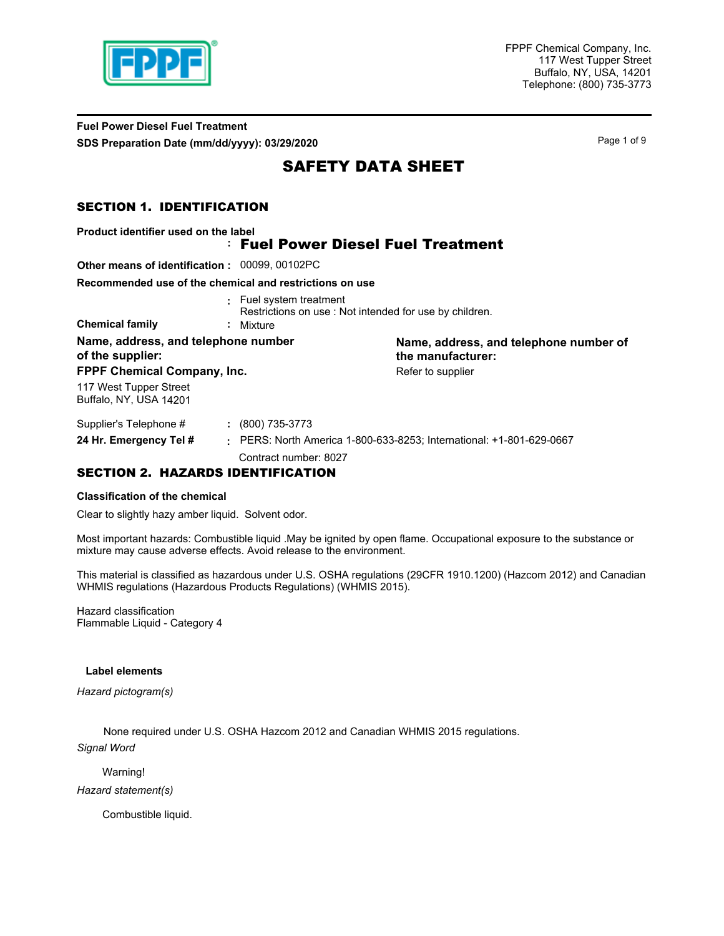

FPPF Chemical Company, Inc. 117 West Tupper Street Buffalo, NY, USA, 14201 Telephone: (800) 735-3773

**Fuel Power Diesel Fuel Treatment SDS Preparation Date (mm/dd/yyyy): 03/29/2020 Page 1 of 9** Page 1 of 9

# SAFETY DATA SHEET

## SECTION 1. IDENTIFICATION

| Product identifier used on the label                    |                                                                                   |                                                                    |
|---------------------------------------------------------|-----------------------------------------------------------------------------------|--------------------------------------------------------------------|
|                                                         | <b>Fuel Power Diesel Fuel Treatment</b>                                           |                                                                    |
| <b>Other means of identification: 00099, 00102PC</b>    |                                                                                   |                                                                    |
| Recommended use of the chemical and restrictions on use |                                                                                   |                                                                    |
|                                                         | : Fuel system treatment<br>Restrictions on use: Not intended for use by children. |                                                                    |
| <b>Chemical family</b>                                  | : Mixture                                                                         |                                                                    |
| Name, address, and telephone number<br>of the supplier: |                                                                                   | Name, address, and telephone number of<br>the manufacturer:        |
| FPPF Chemical Company, Inc.                             |                                                                                   | Refer to supplier                                                  |
| 117 West Tupper Street<br>Buffalo, NY, USA 14201        |                                                                                   |                                                                    |
| Supplier's Telephone #                                  | $: (800) 735-3773$                                                                |                                                                    |
| 24 Hr. Emergency Tel #                                  |                                                                                   | PERS: North America 1-800-633-8253; International: +1-801-629-0667 |
|                                                         | Contract number: 8027                                                             |                                                                    |

## SECTION 2. HAZARDS IDENTIFICATION

#### **Classification of the chemical**

Clear to slightly hazy amber liquid. Solvent odor.

Most important hazards: Combustible liquid .May be ignited by open flame. Occupational exposure to the substance or mixture may cause adverse effects. Avoid release to the environment.

This material is classified as hazardous under U.S. OSHA regulations (29CFR 1910.1200) (Hazcom 2012) and Canadian WHMIS regulations (Hazardous Products Regulations) (WHMIS 2015).

Hazard classification Flammable Liquid - Category 4

#### **Label elements**

*Hazard pictogram(s)*

None required under U.S. OSHA Hazcom 2012 and Canadian WHMIS 2015 regulations. *Signal Word*

Warning!

*Hazard statement(s)*

Combustible liquid.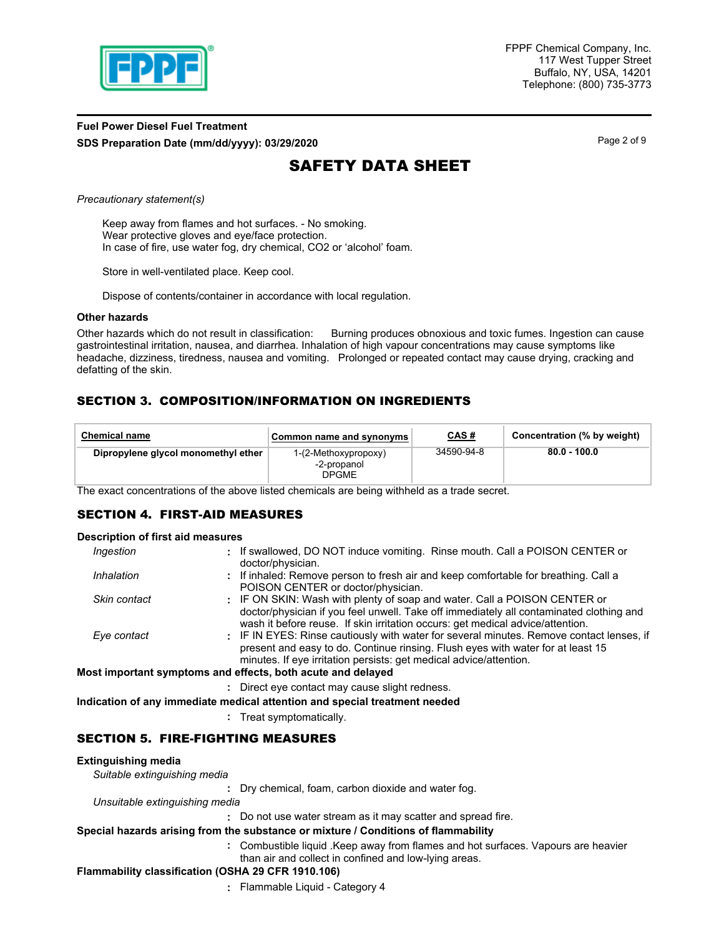

## **Fuel Power Diesel Fuel Treatment SDS Preparation Date (mm/dd/yyyy): 03/29/2020 Page 2 of 9** Page 2 of 9

# SAFETY DATA SHEET

*Precautionary statement(s)*

Keep away from flames and hot surfaces. - No smoking. Wear protective gloves and eye/face protection. In case of fire, use water fog, dry chemical, CO2 or 'alcohol' foam.

Store in well-ventilated place. Keep cool.

Dispose of contents/container in accordance with local regulation.

#### **Other hazards**

Other hazards which do not result in classification: Burning produces obnoxious and toxic fumes. Ingestion can cause gastrointestinal irritation, nausea, and diarrhea. Inhalation of high vapour concentrations may cause symptoms like headache, dizziness, tiredness, nausea and vomiting. Prolonged or repeated contact may cause drying, cracking and defatting of the skin.

# SECTION 3. COMPOSITION/INFORMATION ON INGREDIENTS

| <b>Chemical name</b>                | Common name and synonyms                            | <u>CAS#</u> | Concentration (% by weight) |
|-------------------------------------|-----------------------------------------------------|-------------|-----------------------------|
| Dipropylene glycol monomethyl ether | 1-(2-Methoxypropoxy)<br>-2-propanol<br><b>DPGME</b> | 34590-94-8  | 80.0 - 100.0                |

The exact concentrations of the above listed chemicals are being withheld as a trade secret.

#### SECTION 4. FIRST-AID MEASURES

#### **Description of first aid measures**

| Ingestion    | : If swallowed, DO NOT induce vomiting. Rinse mouth. Call a POISON CENTER or             |
|--------------|------------------------------------------------------------------------------------------|
|              | doctor/physician.                                                                        |
| Inhalation   | : If inhaled: Remove person to fresh air and keep comfortable for breathing. Call a      |
|              | POISON CENTER or doctor/physician.                                                       |
| Skin contact | : IF ON SKIN: Wash with plenty of soap and water. Call a POISON CENTER or                |
|              | doctor/physician if you feel unwell. Take off immediately all contaminated clothing and  |
|              | wash it before reuse. If skin irritation occurs: get medical advice/attention.           |
| Eye contact  | : IF IN EYES: Rinse cautiously with water for several minutes. Remove contact lenses, if |
|              | present and easy to do. Continue rinsing. Flush eyes with water for at least 15          |
|              | minutes. If eye irritation persists: get medical advice/attention.                       |
|              |                                                                                          |
|              | Most important symptoms and effects, both acute and delayed                              |
|              | : Direct eye contact may cause slight redness.                                           |
|              | Indication of any immediate medical attention and special treatment needed               |
|              |                                                                                          |

**:** Treat symptomatically.

## SECTION 5. FIRE-FIGHTING MEASURES

#### **Extinguishing media**

*Suitable extinguishing media*

**:** Dry chemical, foam, carbon dioxide and water fog.

*Unsuitable extinguishing media*

**:** Do not use water stream as it may scatter and spread fire.

### **Special hazards arising from the substance or mixture / Conditions of flammability**

- Combustible liquid .Keep away from flames and hot surfaces. Vapours are heavier **:**
	- than air and collect in confined and low-lying areas.

#### **Flammability classification (OSHA 29 CFR 1910.106)**

**:** Flammable Liquid - Category 4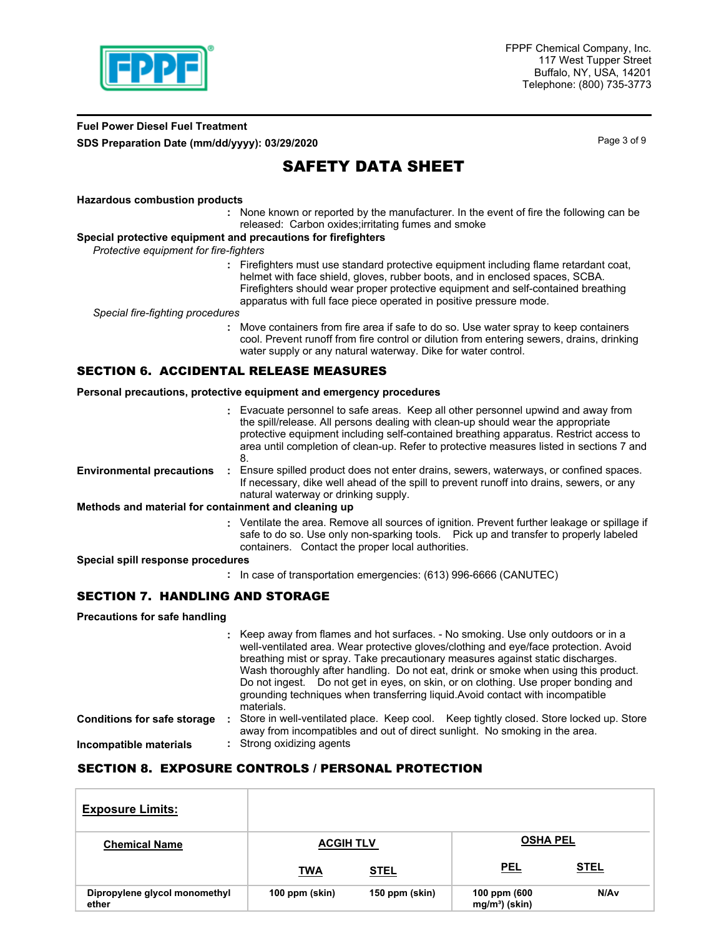

## **Fuel Power Diesel Fuel Treatment SDS Preparation Date (mm/dd/yyyy): 03/29/2020** Page 3 of 9

# SAFETY DATA SHEET

#### **Hazardous combustion products**

None known or reported by the manufacturer. In the event of fire the following can be **:** released: Carbon oxides;irritating fumes and smoke

#### **Special protective equipment and precautions for firefighters**

*Protective equipment for fire-fighters*

**:** Firefighters must use standard protective equipment including flame retardant coat, helmet with face shield, gloves, rubber boots, and in enclosed spaces, SCBA. Firefighters should wear proper protective equipment and self-contained breathing apparatus with full face piece operated in positive pressure mode.

*Special fire-fighting procedures*

**:** Move containers from fire area if safe to do so. Use water spray to keep containers cool. Prevent runoff from fire control or dilution from entering sewers, drains, drinking water supply or any natural waterway. Dike for water control.

### SECTION 6. ACCIDENTAL RELEASE MEASURES

#### **Personal precautions, protective equipment and emergency procedures**

|                                                      | : Evacuate personnel to safe areas. Keep all other personnel upwind and away from<br>the spill/release. All persons dealing with clean-up should wear the appropriate<br>protective equipment including self-contained breathing apparatus. Restrict access to<br>area until completion of clean-up. Refer to protective measures listed in sections 7 and<br>8. |
|------------------------------------------------------|------------------------------------------------------------------------------------------------------------------------------------------------------------------------------------------------------------------------------------------------------------------------------------------------------------------------------------------------------------------|
| <b>Environmental precautions</b>                     | Ensure spilled product does not enter drains, sewers, waterways, or confined spaces.<br>If necessary, dike well ahead of the spill to prevent runoff into drains, sewers, or any<br>natural waterway or drinking supply.                                                                                                                                         |
| Methods and material for containment and cleaning up |                                                                                                                                                                                                                                                                                                                                                                  |
|                                                      | : Ventilate the area. Remove all sources of ignition. Prevent further leakage or spillage if<br>safe to do so. Use only non-sparking tools. Pick up and transfer to properly labeled<br>containers. Contact the proper local authorities.                                                                                                                        |

**Special spill response procedures**

**:** In case of transportation emergencies: (613) 996-6666 (CANUTEC)

#### SECTION 7. HANDLING AND STORAGE

**Precautions for safe handling**

|                                    | : Keep away from flames and hot surfaces. - No smoking. Use only outdoors or in a<br>well-ventilated area. Wear protective gloves/clothing and eye/face protection. Avoid<br>breathing mist or spray. Take precautionary measures against static discharges.<br>Wash thoroughly after handling. Do not eat, drink or smoke when using this product.<br>Do not ingest. Do not get in eyes, on skin, or on clothing. Use proper bonding and<br>grounding techniques when transferring liquid. Avoid contact with incompatible<br>materials. |
|------------------------------------|-------------------------------------------------------------------------------------------------------------------------------------------------------------------------------------------------------------------------------------------------------------------------------------------------------------------------------------------------------------------------------------------------------------------------------------------------------------------------------------------------------------------------------------------|
| <b>Conditions for safe storage</b> | Store in well-ventilated place. Keep cool. Keep tightly closed. Store locked up. Store<br>away from incompatibles and out of direct sunlight. No smoking in the area.                                                                                                                                                                                                                                                                                                                                                                     |
| Incompatible materials             | : Strong oxidizing agents                                                                                                                                                                                                                                                                                                                                                                                                                                                                                                                 |

### SECTION 8. EXPOSURE CONTROLS / PERSONAL PROTECTION

| <b>Exposure Limits:</b>                |                  |                |                                |                  |
|----------------------------------------|------------------|----------------|--------------------------------|------------------|
| <b>Chemical Name</b>                   | <b>ACGIH TLV</b> |                | <b>OSHA PEL</b>                |                  |
|                                        | <b>TWA</b>       | <b>STEL</b>    | <b>PEL</b>                     | <b>STEL</b>      |
| Dipropylene glycol monomethyl<br>ether | 100 ppm (skin)   | 150 ppm (skin) | 100 ppm (600<br>$mg/m3$ (skin) | N/A <sub>v</sub> |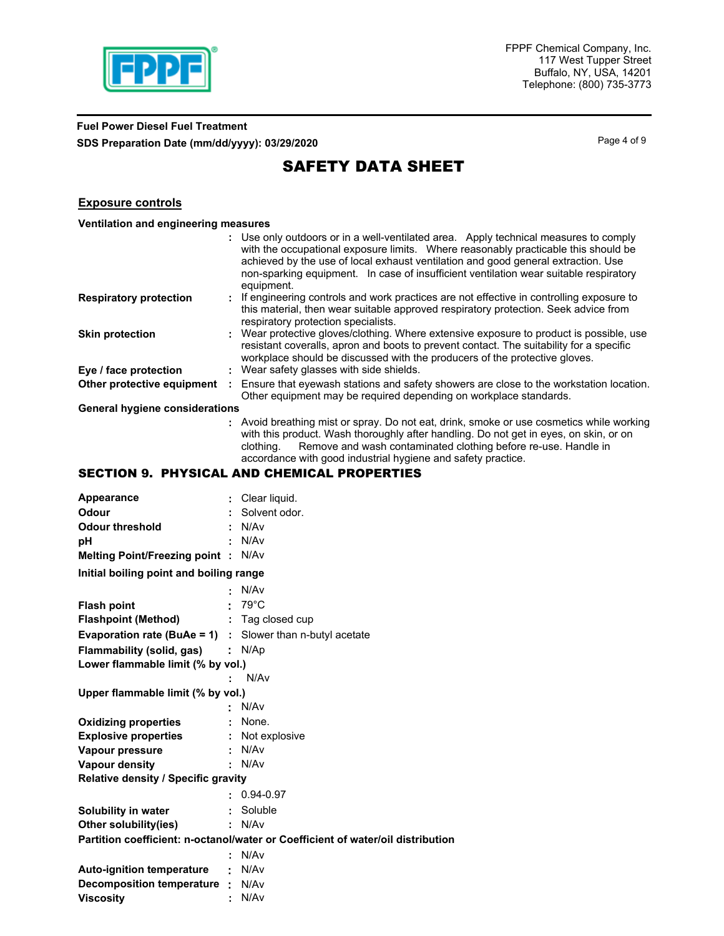

# **Fuel Power Diesel Fuel Treatment SDS Preparation Date (mm/dd/yyyy): 03/29/2020 Page 4 of 9 Page 4 of 9**

# SAFETY DATA SHEET

### **Exposure controls**

|  | Ventilation and engineering measures |  |
|--|--------------------------------------|--|
|  |                                      |  |

|                                       | : Use only outdoors or in a well-ventilated area. Apply technical measures to comply<br>with the occupational exposure limits. Where reasonably practicable this should be<br>achieved by the use of local exhaust ventilation and good general extraction. Use<br>non-sparking equipment. In case of insufficient ventilation wear suitable respiratory<br>equipment. |
|---------------------------------------|------------------------------------------------------------------------------------------------------------------------------------------------------------------------------------------------------------------------------------------------------------------------------------------------------------------------------------------------------------------------|
| <b>Respiratory protection</b>         | : If engineering controls and work practices are not effective in controlling exposure to<br>this material, then wear suitable approved respiratory protection. Seek advice from<br>respiratory protection specialists.                                                                                                                                                |
| <b>Skin protection</b>                | : Wear protective gloves/clothing. Where extensive exposure to product is possible, use<br>resistant coveralls, apron and boots to prevent contact. The suitability for a specific<br>workplace should be discussed with the producers of the protective gloves.                                                                                                       |
| Eye / face protection                 | : Wear safety glasses with side shields.                                                                                                                                                                                                                                                                                                                               |
| Other protective equipment            | Ensure that eyewash stations and safety showers are close to the workstation location.<br>Other equipment may be required depending on workplace standards.                                                                                                                                                                                                            |
| <b>General hygiene considerations</b> |                                                                                                                                                                                                                                                                                                                                                                        |
|                                       | : Avoid breathing mist or spray. Do not eat, drink, smoke or use cosmetics while working                                                                                                                                                                                                                                                                               |

**:** Avoid breathing mist or spray. Do not eat, drink, smoke or use cosmetics while working with this product. Wash thoroughly after handling. Do not get in eyes, on skin, or on clothing. Remove and wash contaminated clothing before re-use. Handle in accordance with good industrial hygiene and safety practice.

# SECTION 9. PHYSICAL AND CHEMICAL PROPERTIES

| Appearance                                                       |                           | Clear liquid.                                                                   |
|------------------------------------------------------------------|---------------------------|---------------------------------------------------------------------------------|
| Odour                                                            |                           | Solvent odor.                                                                   |
| <b>Odour threshold</b>                                           |                           | N/A <sub>v</sub>                                                                |
| рH                                                               |                           | N/A <sub>v</sub>                                                                |
| <b>Melting Point/Freezing point:</b>                             |                           | N/A <sub>v</sub>                                                                |
| Initial boiling point and boiling range                          |                           |                                                                                 |
|                                                                  |                           | N/Av                                                                            |
| <b>Flash point</b>                                               |                           | $79^{\circ}$ C                                                                  |
| <b>Flashpoint (Method)</b>                                       |                           | $:$ Tag closed cup                                                              |
| <b>Evaporation rate (BuAe = 1)</b> : Slower than n-butyl acetate |                           |                                                                                 |
| Flammability (solid, gas)                                        | $\mathbb{Z}^{\mathbb{Z}}$ | N/Ap                                                                            |
| Lower flammable limit (% by vol.)                                |                           |                                                                                 |
|                                                                  |                           | N/A <sub>v</sub>                                                                |
| Upper flammable limit (% by vol.)                                |                           |                                                                                 |
|                                                                  |                           | N/Av                                                                            |
| <b>Oxidizing properties</b>                                      |                           | None.                                                                           |
| <b>Explosive properties</b>                                      |                           | Not explosive                                                                   |
| Vapour pressure                                                  | ÷                         | N/A <sub>v</sub>                                                                |
| <b>Vapour density</b>                                            |                           | N/A <sub>v</sub>                                                                |
| <b>Relative density / Specific gravity</b>                       |                           |                                                                                 |
|                                                                  |                           | $0.94 - 0.97$                                                                   |
| Solubility in water                                              | ÷.                        | Soluble                                                                         |
| Other solubility(ies)                                            |                           | N/Av                                                                            |
|                                                                  |                           | Partition coefficient: n-octanol/water or Coefficient of water/oil distribution |
|                                                                  |                           | N/Av                                                                            |
| <b>Auto-ignition temperature</b>                                 | ٠                         | N/Av                                                                            |
| <b>Decomposition temperature</b>                                 | ÷.                        | N/Av                                                                            |
| <b>Viscosity</b>                                                 |                           | N/Av                                                                            |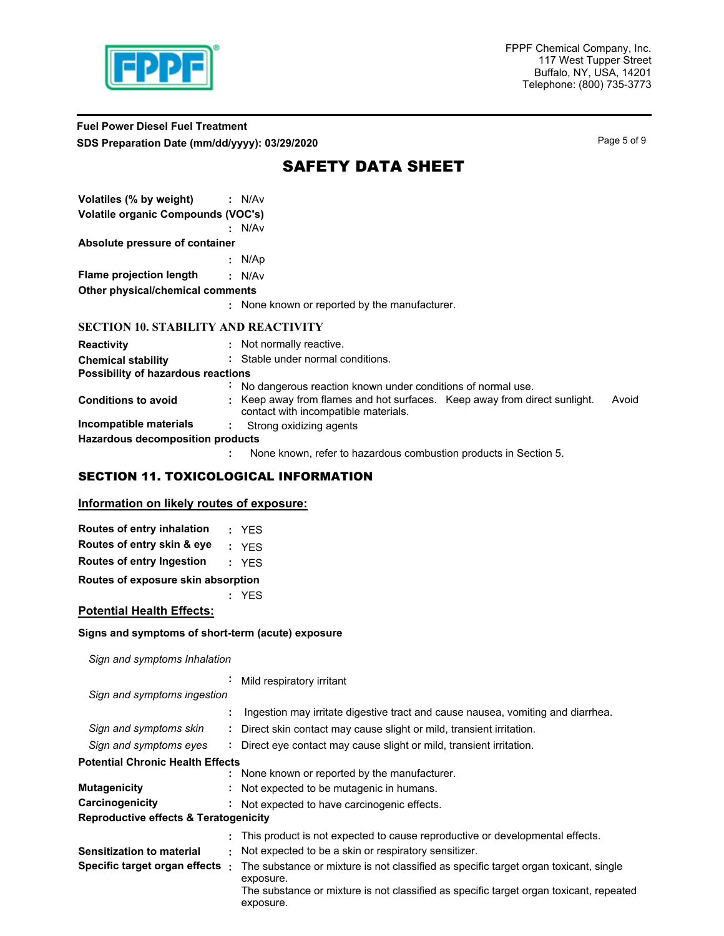

## **Fuel Power Diesel Fuel Treatment SDS Preparation Date (mm/dd/yyyy): 03/29/2020 Page 5 of 9** Page 5 of 9

# SAFETY DATA SHEET

| Volatiles (% by weight)                     | : N/Av                                                                                                                   |
|---------------------------------------------|--------------------------------------------------------------------------------------------------------------------------|
| <b>Volatile organic Compounds (VOC's)</b>   |                                                                                                                          |
|                                             | : N/Av                                                                                                                   |
| Absolute pressure of container              |                                                                                                                          |
|                                             | : $N/Ap$                                                                                                                 |
| <b>Flame projection length</b>              | : N/Av                                                                                                                   |
| Other physical/chemical comments            |                                                                                                                          |
|                                             | : None known or reported by the manufacturer.                                                                            |
| <b>SECTION 10. STABILITY AND REACTIVITY</b> |                                                                                                                          |
| <b>Reactivity</b>                           | : Not normally reactive.                                                                                                 |
| <b>Chemical stability</b>                   | : Stable under normal conditions.                                                                                        |
| Possibility of hazardous reactions          |                                                                                                                          |
|                                             | : No dangerous reaction known under conditions of normal use.                                                            |
| <b>Conditions to avoid</b>                  | Keep away from flames and hot surfaces. Keep away from direct sunlight.<br>Avoid<br>contact with incompatible materials. |
| Incompatible materials                      | Strong oxidizing agents                                                                                                  |
| Hazardous decomposition products            |                                                                                                                          |
|                                             | None known, refer to hazardous combustion products in Section 5.                                                         |

# SECTION 11. TOXICOLOGICAL INFORMATION

# **Information on likely routes of exposure:**

|  | Routes of entry inhalation | : YES |
|--|----------------------------|-------|
|  | Routes of entry skin & eye | : YES |

**Routes of entry Ingestion :** YES

**Routes of exposure skin absorption**

**:** YES

## **Potential Health Effects:**

#### **Signs and symptoms of short-term (acute) exposure**

*Sign and symptoms Inhalation*

|                                                  | $\blacksquare$ | Mild respiratory irritant                                                                           |
|--------------------------------------------------|----------------|-----------------------------------------------------------------------------------------------------|
| Sign and symptoms ingestion                      |                |                                                                                                     |
|                                                  | ÷              | Ingestion may irritate digestive tract and cause nausea, vomiting and diarrhea.                     |
| Sign and symptoms skin                           |                | : Direct skin contact may cause slight or mild, transient irritation.                               |
| Sign and symptoms eyes                           |                | : Direct eye contact may cause slight or mild, transient irritation.                                |
| <b>Potential Chronic Health Effects</b>          |                |                                                                                                     |
|                                                  |                | : None known or reported by the manufacturer.                                                       |
| <b>Mutagenicity</b>                              |                | : Not expected to be mutagenic in humans.                                                           |
| Carcinogenicity                                  |                | : Not expected to have carcinogenic effects.                                                        |
| <b>Reproductive effects &amp; Teratogenicity</b> |                |                                                                                                     |
|                                                  | ÷              | This product is not expected to cause reproductive or developmental effects.                        |
| Sensitization to material                        |                | : Not expected to be a skin or respiratory sensitizer.                                              |
| Specific target organ effects:                   |                | The substance or mixture is not classified as specific target organ toxicant, single                |
|                                                  |                | exposure.                                                                                           |
|                                                  |                | The substance or mixture is not classified as specific target organ toxicant, repeated<br>exposure. |
|                                                  |                |                                                                                                     |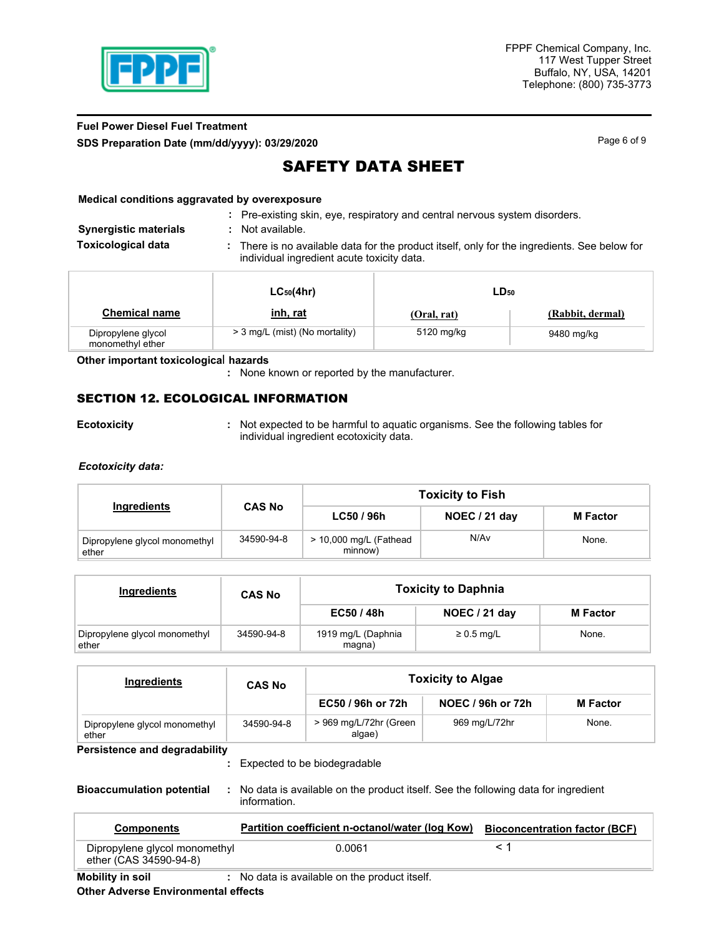

## **Fuel Power Diesel Fuel Treatment SDS Preparation Date (mm/dd/yyyy): 03/29/2020 Page 6 of 9** Page 6 of 9

# SAFETY DATA SHEET

#### **Medical conditions aggravated by overexposure**

| : Pre-existing skin, eye, respiratory and central nervous system disorders. |  |  |  |
|-----------------------------------------------------------------------------|--|--|--|

- **Synergistic materials :** Not available.
- There is no available data for the product itself, only for the ingredients. See below for individual ingredient acute toxicity data. **Toxicological data :**

|                                        | $LC_{50}(4hr)$                 | LD <sub>50</sub> |                  |
|----------------------------------------|--------------------------------|------------------|------------------|
| <b>Chemical name</b>                   | <u>inh, rat</u>                | (Oral, rat)      | (Rabbit, dermal) |
| Dipropylene glycol<br>monomethyl ether | > 3 mg/L (mist) (No mortality) | 5120 mg/kg       | 9480 mg/kg       |

#### **Other important toxicologica**l **hazards**

**:** None known or reported by the manufacturer.

## SECTION 12. ECOLOGICAL INFORMATION

**Ecotoxicity Not expected to be harmful to aquatic organisms. See the following tables for <b>E** individual ingredient ecotoxicity data.

#### *Ecotoxicity data:*

|                                        |               | <b>Toxicity to Fish</b>             |               |                 |  |  |
|----------------------------------------|---------------|-------------------------------------|---------------|-----------------|--|--|
| Ingredients                            | <b>CAS No</b> | LC50 / 96h                          | NOEC / 21 day | <b>M</b> Factor |  |  |
| Dipropylene glycol monomethyl<br>ether | 34590-94-8    | $>$ 10,000 mg/L (Fathead<br>minnow) | N/Av          | None.           |  |  |

| Ingredients                            | <b>CAS No</b> | <b>Toxicity to Daphnia</b>   |                 |                 |  |  |
|----------------------------------------|---------------|------------------------------|-----------------|-----------------|--|--|
|                                        |               | EC50 / 48h                   | NOEC / 21 day   | <b>M</b> Factor |  |  |
| Dipropylene glycol monomethyl<br>ether | 34590-94-8    | 1919 mg/L (Daphnia<br>magna) | $\geq 0.5$ mg/L | None.           |  |  |

| Ingredients                            | <b>CAS No</b> | <b>Toxicity to Algae</b>         |                   |                 |
|----------------------------------------|---------------|----------------------------------|-------------------|-----------------|
|                                        |               | EC50 / 96h or 72h                | NOEC / 96h or 72h | <b>M</b> Factor |
| Dipropylene glycol monomethyl<br>ether | 34590-94-8    | > 969 mg/L/72hr (Green<br>algae) | 969 mg/L/72hr     | None.           |

**Persistence and degradability**

**Bioaccumulation potential :** No data is available on the product itself. See the following data for ingredient information.

| <b>Components</b>                                       | Partition coefficient n-octanol/water (log Kow) | <b>Bioconcentration factor (BCF)</b> |
|---------------------------------------------------------|-------------------------------------------------|--------------------------------------|
| Dipropylene glycol monomethyl<br>ether (CAS 34590-94-8) | 0.0061                                          |                                      |

**Mobility in soil :** No data is available on the product itself.

Expected to be biodegradable **:**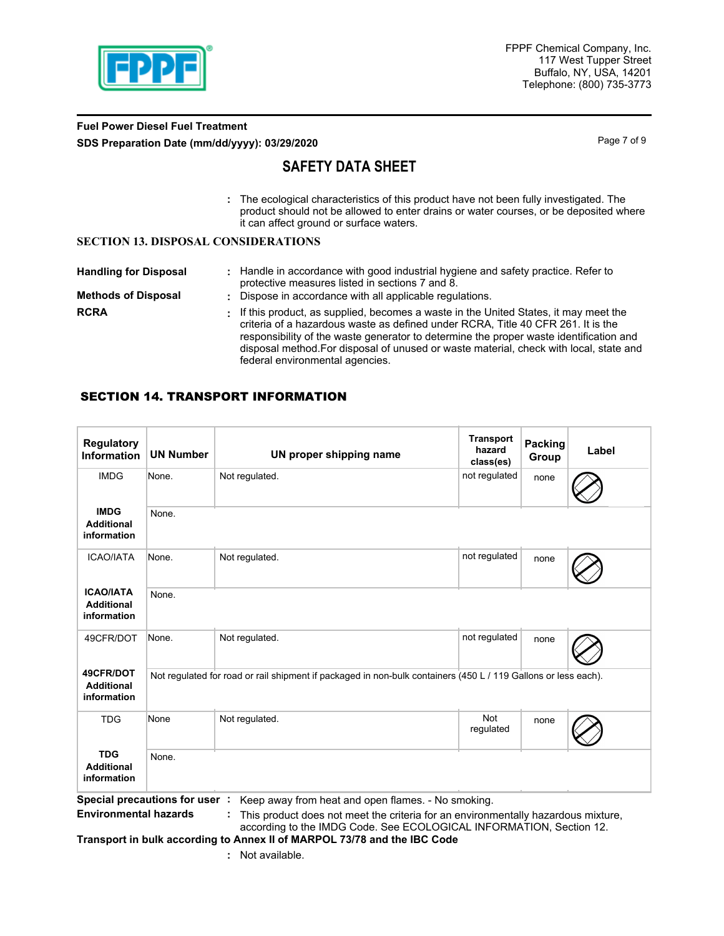

## **Fuel Power Diesel Fuel Treatment SDS Preparation Date (mm/dd/yyyy): 03/29/2020** Page 7 of 9

# **SAFETY DATA SHEET**

The ecological characteristics of this product have not been fully investigated. The **:** product should not be allowed to enter drains or water courses, or be deposited where it can affect ground or surface waters.

### **SECTION 13. DISPOSAL CONSIDERATIONS**

| <b>Handling for Disposal</b><br><b>Methods of Disposal</b> | : Handle in accordance with good industrial hygiene and safety practice. Refer to<br>protective measures listed in sections 7 and 8.<br>: Dispose in accordance with all applicable regulations.                                                                                                                                                                                                 |
|------------------------------------------------------------|--------------------------------------------------------------------------------------------------------------------------------------------------------------------------------------------------------------------------------------------------------------------------------------------------------------------------------------------------------------------------------------------------|
| <b>RCRA</b>                                                | . If this product, as supplied, becomes a waste in the United States, it may meet the<br>criteria of a hazardous waste as defined under RCRA. Title 40 CFR 261. It is the<br>responsibility of the waste generator to determine the proper waste identification and<br>disposal method. For disposal of unused or waste material, check with local, state and<br>federal environmental agencies. |

# SECTION 14. TRANSPORT INFORMATION

| <b>Regulatory</b><br><b>Information</b>                       | <b>UN Number</b>                                                                                               | UN proper shipping name                                                                                                                                                                                        | <b>Transport</b><br>hazard<br>class(es) | <b>Packing</b><br>Group | Label |  |
|---------------------------------------------------------------|----------------------------------------------------------------------------------------------------------------|----------------------------------------------------------------------------------------------------------------------------------------------------------------------------------------------------------------|-----------------------------------------|-------------------------|-------|--|
| <b>IMDG</b>                                                   | None.                                                                                                          | Not regulated.                                                                                                                                                                                                 | not regulated                           | none                    |       |  |
| <b>IMDG</b><br><b>Additional</b><br>information               | None.                                                                                                          |                                                                                                                                                                                                                |                                         |                         |       |  |
| <b>ICAO/IATA</b>                                              | None.                                                                                                          | Not regulated.                                                                                                                                                                                                 | not regulated                           | none                    |       |  |
| <b>ICAO/IATA</b><br><b>Additional</b><br>information          | None.                                                                                                          |                                                                                                                                                                                                                |                                         |                         |       |  |
| 49CFR/DOT                                                     | None.                                                                                                          | Not regulated.                                                                                                                                                                                                 | not regulated                           | none                    |       |  |
| 49CFR/DOT<br><b>Additional</b><br>information                 | Not regulated for road or rail shipment if packaged in non-bulk containers (450 L / 119 Gallons or less each). |                                                                                                                                                                                                                |                                         |                         |       |  |
| <b>TDG</b>                                                    | None                                                                                                           | Not regulated.                                                                                                                                                                                                 | <b>Not</b><br>regulated                 | none                    |       |  |
| <b>TDG</b><br><b>Additional</b><br>information                |                                                                                                                |                                                                                                                                                                                                                |                                         |                         |       |  |
| Special precautions for user:<br><b>Environmental hazards</b> |                                                                                                                | Keep away from heat and open flames. - No smoking.<br>This product does not meet the criteria for an environmentally hazardous mixture,<br>according to the IMDG Code. See ECOLOGICAL INFORMATION, Section 12. |                                         |                         |       |  |

**Transport in bulk according to Annex II of MARPOL 73/78 and the IBC Code**

**:** Not available.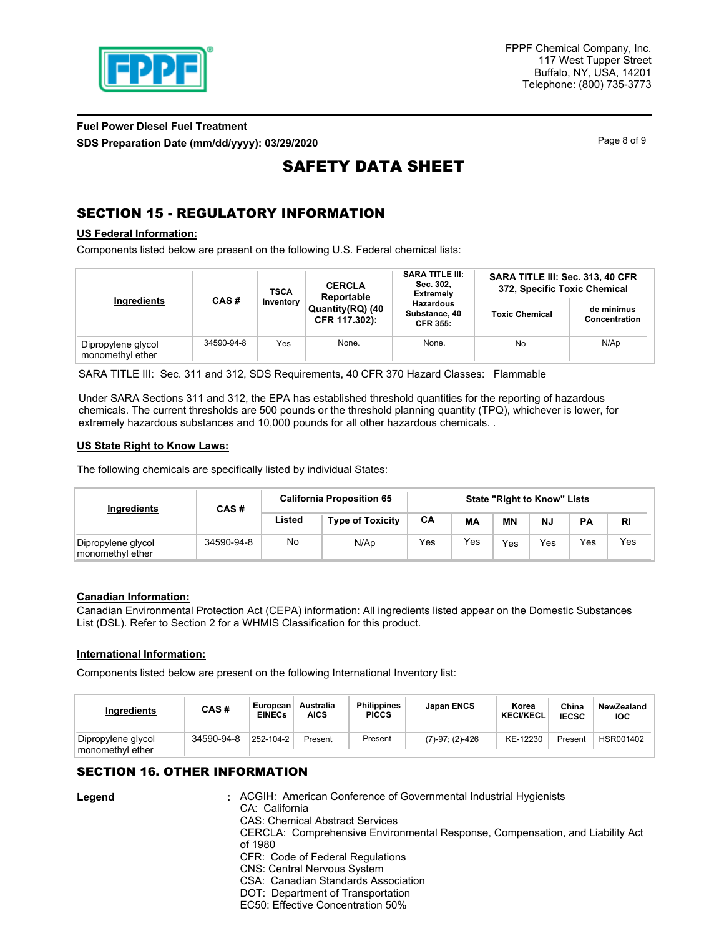

# **Fuel Power Diesel Fuel Treatment SDS Preparation Date (mm/dd/yyyy): 03/29/2020 Page 8 of 9** Page 8 of 9

# SAFETY DATA SHEET

# SECTION 15 - REGULATORY INFORMATION

### **US Federal Information:**

Components listed below are present on the following U.S. Federal chemical lists:

|                                        |            | <b>TSCA</b><br>Inventory | <b>CERCLA</b><br>Reportable       | <b>SARA TITLE III:</b><br>Sec. 302,<br><b>Extremely</b> | SARA TITLE III: Sec. 313, 40 CFR<br>372, Specific Toxic Chemical |                             |  |
|----------------------------------------|------------|--------------------------|-----------------------------------|---------------------------------------------------------|------------------------------------------------------------------|-----------------------------|--|
| Ingredients                            | CAS#       |                          | Quantity(RQ) (40<br>CFR 117.302): | <b>Hazardous</b><br>Substance, 40<br><b>CFR 355:</b>    | <b>Toxic Chemical</b>                                            | de minimus<br>Concentration |  |
| Dipropylene glycol<br>monomethyl ether | 34590-94-8 | Yes                      | None.                             | None.                                                   | No                                                               | N/Ap                        |  |

SARA TITLE III: Sec. 311 and 312, SDS Requirements, 40 CFR 370 Hazard Classes: Flammable

Under SARA Sections 311 and 312, the EPA has established threshold quantities for the reporting of hazardous chemicals. The current thresholds are 500 pounds or the threshold planning quantity (TPQ), whichever is lower, for extremely hazardous substances and 10,000 pounds for all other hazardous chemicals. .

#### **US State Right to Know Laws:**

The following chemicals are specifically listed by individual States:

| Ingredients                            | CAS#       | <b>California Proposition 65</b> | <b>State "Right to Know" Lists</b> |     |     |           |     |           |     |
|----------------------------------------|------------|----------------------------------|------------------------------------|-----|-----|-----------|-----|-----------|-----|
|                                        |            | Listed                           | <b>Type of Toxicity</b>            | CA  | МA  | <b>MN</b> | NJ  | <b>PA</b> | RI  |
| Dipropylene glycol<br>monomethyl ether | 34590-94-8 | No                               | N/Ap                               | Yes | Yes | Yes       | Yes | Yes       | Yes |

#### **Canadian Information:**

Canadian Environmental Protection Act (CEPA) information: All ingredients listed appear on the Domestic Substances List (DSL). Refer to Section 2 for a WHMIS Classification for this product.

#### **International Information:**

**Legend :**

Components listed below are present on the following International Inventory list:

| <b>Ingredients</b>                     | CAS#       | European<br><b>EINECs</b> | Australia<br>AICS | <b>Philippines</b><br><b>PICCS</b> | <b>Japan ENCS</b>    | Korea<br><b>KECI/KECL</b> | China<br><b>IECSC</b> | NewZealand<br><b>IOC</b> |
|----------------------------------------|------------|---------------------------|-------------------|------------------------------------|----------------------|---------------------------|-----------------------|--------------------------|
| Dipropylene glycol<br>monomethyl ether | 34590-94-8 | 252-104-2                 | Present           | Present                            | $(7)-97$ ; $(2)-426$ | KE-12230                  | Present               | HSR001402                |

## SECTION 16. OTHER INFORMATION

| : ACGIH: American Conference of Governmental Industrial Hygienists<br>CA: California |
|--------------------------------------------------------------------------------------|
| <b>CAS: Chemical Abstract Services</b>                                               |
| CERCLA: Comprehensive Environmental Response, Compensation, and Liability Act        |
| of 1980                                                                              |
| CFR: Code of Federal Regulations                                                     |
| <b>CNS: Central Nervous System</b>                                                   |
| CSA: Canadian Standards Association                                                  |
| DOT: Department of Transportation                                                    |
| FC50: Effective Concentration 50%                                                    |